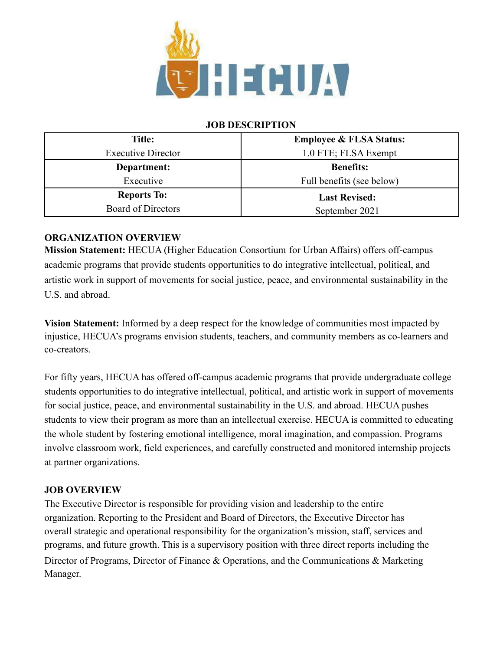

### **JOB DESCRIPTION**

| <b>Title:</b>             | <b>Employee &amp; FLSA Status:</b> |
|---------------------------|------------------------------------|
| <b>Executive Director</b> | 1.0 FTE; FLSA Exempt               |
| Department:               | <b>Benefits:</b>                   |
| Executive                 | Full benefits (see below)          |
| <b>Reports To:</b>        | <b>Last Revised:</b>               |
| Board of Directors        | September 2021                     |

## **ORGANIZATION OVERVIEW**

**Mission Statement:** HECUA (Higher Education Consortium for Urban Affairs) offers off-campus academic programs that provide students opportunities to do integrative intellectual, political, and artistic work in support of movements for social justice, peace, and environmental sustainability in the U.S. and abroad.

**Vision Statement:** Informed by a deep respect for the knowledge of communities most impacted by injustice, HECUA's programs envision students, teachers, and community members as co-learners and co-creators.

For fifty years, HECUA has offered off-campus academic programs that provide undergraduate college students opportunities to do integrative intellectual, political, and artistic work in support of movements for social justice, peace, and environmental sustainability in the U.S. and abroad. HECUA pushes students to view their program as more than an intellectual exercise. HECUA is committed to educating the whole student by fostering emotional intelligence, moral imagination, and compassion. Programs involve classroom work, field experiences, and carefully constructed and monitored internship projects at partner organizations.

#### **JOB OVERVIEW**

The Executive Director is responsible for providing vision and leadership to the entire organization. Reporting to the President and Board of Directors, the Executive Director has overall strategic and operational responsibility for the organization's mission, staff, services and programs, and future growth. This is a supervisory position with three direct reports including the Director of Programs, Director of Finance & Operations, and the Communications & Marketing Manager.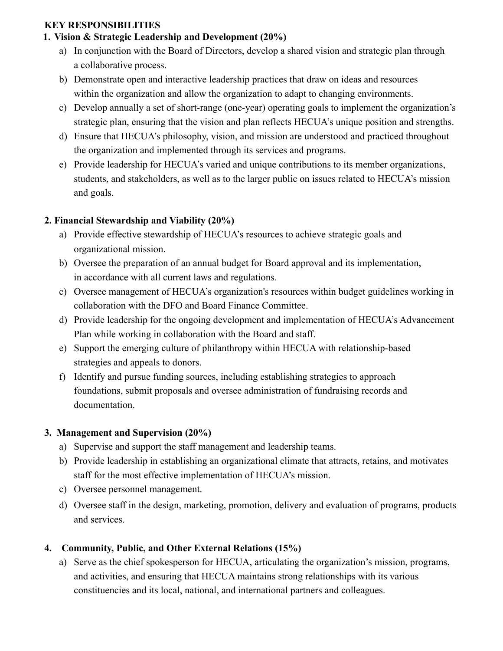### **KEY RESPONSIBILITIES**

# **1. Vision & Strategic Leadership and Development (20%)**

- a) In conjunction with the Board of Directors, develop a shared vision and strategic plan through a collaborative process.
- b) Demonstrate open and interactive leadership practices that draw on ideas and resources within the organization and allow the organization to adapt to changing environments.
- c) Develop annually a set of short-range (one-year) operating goals to implement the organization's strategic plan, ensuring that the vision and plan reflects HECUA's unique position and strengths.
- d) Ensure that HECUA's philosophy, vision, and mission are understood and practiced throughout the organization and implemented through its services and programs.
- e) Provide leadership for HECUA's varied and unique contributions to its member organizations, students, and stakeholders, as well as to the larger public on issues related to HECUA's mission and goals.

# **2. Financial Stewardship and Viability (20%)**

- a) Provide effective stewardship of HECUA's resources to achieve strategic goals and organizational mission.
- b) Oversee the preparation of an annual budget for Board approval and its implementation, in accordance with all current laws and regulations.
- c) Oversee management of HECUA's organization's resources within budget guidelines working in collaboration with the DFO and Board Finance Committee.
- d) Provide leadership for the ongoing development and implementation of HECUA's Advancement Plan while working in collaboration with the Board and staff.
- e) Support the emerging culture of philanthropy within HECUA with relationship-based strategies and appeals to donors.
- f) Identify and pursue funding sources, including establishing strategies to approach foundations, submit proposals and oversee administration of fundraising records and documentation.

# **3. Management and Supervision (20%)**

- a) Supervise and support the staff management and leadership teams.
- b) Provide leadership in establishing an organizational climate that attracts, retains, and motivates staff for the most effective implementation of HECUA's mission.
- c) Oversee personnel management.
- d) Oversee staff in the design, marketing, promotion, delivery and evaluation of programs, products and services.

# **4. Community, Public, and Other External Relations (15%)**

a) Serve as the chief spokesperson for HECUA, articulating the organization's mission, programs, and activities, and ensuring that HECUA maintains strong relationships with its various constituencies and its local, national, and international partners and colleagues.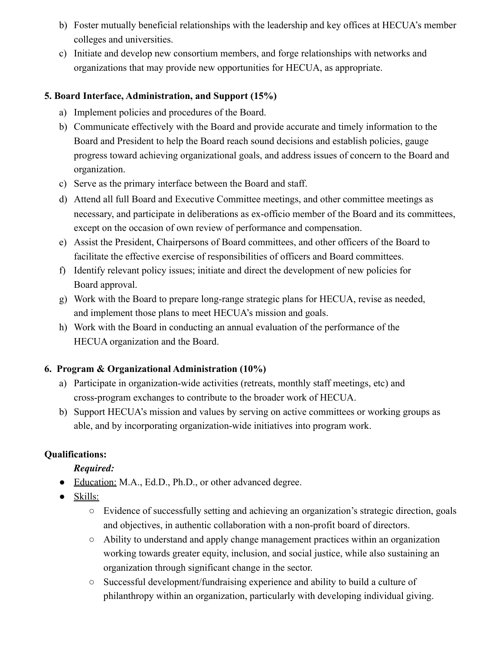- b) Foster mutually beneficial relationships with the leadership and key offices at HECUA's member colleges and universities.
- c) Initiate and develop new consortium members, and forge relationships with networks and organizations that may provide new opportunities for HECUA, as appropriate.

### **5. Board Interface, Administration, and Support (15%)**

- a) Implement policies and procedures of the Board.
- b) Communicate effectively with the Board and provide accurate and timely information to the Board and President to help the Board reach sound decisions and establish policies, gauge progress toward achieving organizational goals, and address issues of concern to the Board and organization.
- c) Serve as the primary interface between the Board and staff.
- d) Attend all full Board and Executive Committee meetings, and other committee meetings as necessary, and participate in deliberations as ex-officio member of the Board and its committees, except on the occasion of own review of performance and compensation.
- e) Assist the President, Chairpersons of Board committees, and other officers of the Board to facilitate the effective exercise of responsibilities of officers and Board committees.
- f) Identify relevant policy issues; initiate and direct the development of new policies for Board approval.
- g) Work with the Board to prepare long-range strategic plans for HECUA, revise as needed, and implement those plans to meet HECUA's mission and goals.
- h) Work with the Board in conducting an annual evaluation of the performance of the HECUA organization and the Board.

## **6. Program & Organizational Administration (10%)**

- a) Participate in organization-wide activities (retreats, monthly staff meetings, etc) and cross-program exchanges to contribute to the broader work of HECUA.
- b) Support HECUA's mission and values by serving on active committees or working groups as able, and by incorporating organization-wide initiatives into program work.

## **Qualifications:**

## *Required:*

- Education: M.A., Ed.D., Ph.D., or other advanced degree.
- Skills:
	- Evidence of successfully setting and achieving an organization's strategic direction, goals and objectives, in authentic collaboration with a non-profit board of directors.
	- Ability to understand and apply change management practices within an organization working towards greater equity, inclusion, and social justice, while also sustaining an organization through significant change in the sector.
	- Successful development/fundraising experience and ability to build a culture of philanthropy within an organization, particularly with developing individual giving.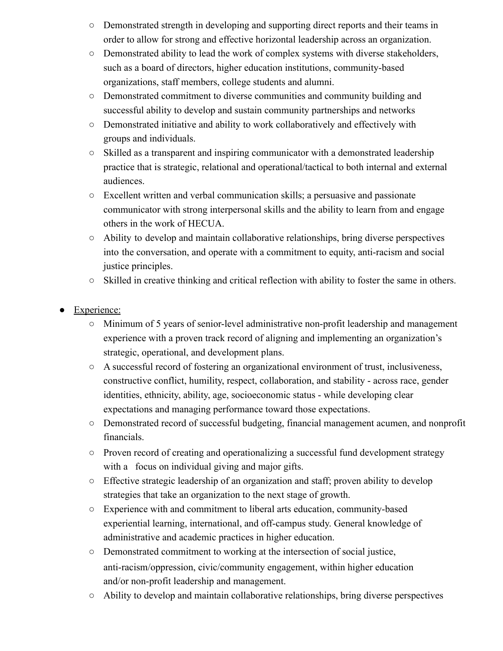- Demonstrated strength in developing and supporting direct reports and their teams in order to allow for strong and effective horizontal leadership across an organization.
- Demonstrated ability to lead the work of complex systems with diverse stakeholders, such as a board of directors, higher education institutions, community-based organizations, staff members, college students and alumni.
- Demonstrated commitment to diverse communities and community building and successful ability to develop and sustain community partnerships and networks
- Demonstrated initiative and ability to work collaboratively and effectively with groups and individuals.
- Skilled as a transparent and inspiring communicator with a demonstrated leadership practice that is strategic, relational and operational/tactical to both internal and external audiences.
- Excellent written and verbal communication skills; a persuasive and passionate communicator with strong interpersonal skills and the ability to learn from and engage others in the work of HECUA.
- Ability to develop and maintain collaborative relationships, bring diverse perspectives into the conversation, and operate with a commitment to equity, anti-racism and social justice principles.
- Skilled in creative thinking and critical reflection with ability to foster the same in others.
- Experience:
	- Minimum of 5 years of senior-level administrative non-profit leadership and management experience with a proven track record of aligning and implementing an organization's strategic, operational, and development plans.
	- A successful record of fostering an organizational environment of trust, inclusiveness, constructive conflict, humility, respect, collaboration, and stability - across race, gender identities, ethnicity, ability, age, socioeconomic status - while developing clear expectations and managing performance toward those expectations.
	- Demonstrated record of successful budgeting, financial management acumen, and nonprofit financials.
	- Proven record of creating and operationalizing a successful fund development strategy with a focus on individual giving and major gifts.
	- Effective strategic leadership of an organization and staff; proven ability to develop strategies that take an organization to the next stage of growth.
	- Experience with and commitment to liberal arts education, community-based experiential learning, international, and off-campus study. General knowledge of administrative and academic practices in higher education.
	- Demonstrated commitment to working at the intersection of social justice, anti-racism/oppression, civic/community engagement, within higher education and/or non-profit leadership and management.
	- Ability to develop and maintain collaborative relationships, bring diverse perspectives